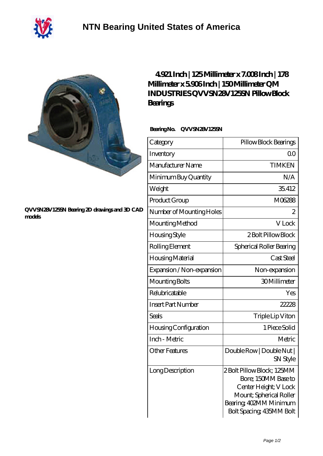

## **[QVVSN28V125SN Bearing 2D drawings and 3D CAD](https://m.40ozbounce-tube.net/pic-266505.html) [models](https://m.40ozbounce-tube.net/pic-266505.html)**

## **[4.921 Inch | 125 Millimeter x 7.008 Inch | 178](https://m.40ozbounce-tube.net/bb-266505-qm-industries-qvvsn28v125sn-pillow-block-bearings.html) [Millimeter x 5.906 Inch | 150 Millimeter QM](https://m.40ozbounce-tube.net/bb-266505-qm-industries-qvvsn28v125sn-pillow-block-bearings.html) [INDUSTRIES QVVSN28V125SN Pillow Block](https://m.40ozbounce-tube.net/bb-266505-qm-industries-qvvsn28v125sn-pillow-block-bearings.html) [Bearings](https://m.40ozbounce-tube.net/bb-266505-qm-industries-qvvsn28v125sn-pillow-block-bearings.html)**

## **Bearing No. QVVSN28V125SN**

| Category                     | Pillow Block Bearings                                                                                                                                      |
|------------------------------|------------------------------------------------------------------------------------------------------------------------------------------------------------|
| Inventory                    | 0 <sup>0</sup>                                                                                                                                             |
| Manufacturer Name            | <b>TIMKEN</b>                                                                                                                                              |
| Minimum Buy Quantity         | N/A                                                                                                                                                        |
| Weight                       | 35.412                                                                                                                                                     |
| Product Group                | M06288                                                                                                                                                     |
| Number of Mounting Holes     | $\overline{2}$                                                                                                                                             |
| Mounting Method              | V Lock                                                                                                                                                     |
| <b>Housing Style</b>         | 2 Bolt Pillow Block                                                                                                                                        |
| Rolling Element              | Spherical Roller Bearing                                                                                                                                   |
| Housing Material             | Cast Steel                                                                                                                                                 |
| Expansion / Non-expansion    | Non-expansion                                                                                                                                              |
| Mounting Bolts               | 30Millimeter                                                                                                                                               |
| Relubricatable               | Yes                                                                                                                                                        |
| <b>Insert Part Number</b>    | 22228                                                                                                                                                      |
| <b>Seals</b>                 | Triple Lip Viton                                                                                                                                           |
| <b>Housing Configuration</b> | 1 Piece Solid                                                                                                                                              |
| Inch - Metric                | Metric                                                                                                                                                     |
| <b>Other Features</b>        | Double Row   Double Nut  <br>SN Style                                                                                                                      |
| Long Description             | 2Bolt Pillow Block; 125MM<br>Bore; 150MM Base to<br>Center Height; V Lock<br>Mount; Spherical Roller<br>Bearing, 402MM Minimum<br>Bolt Spacing, 435MM Bolt |